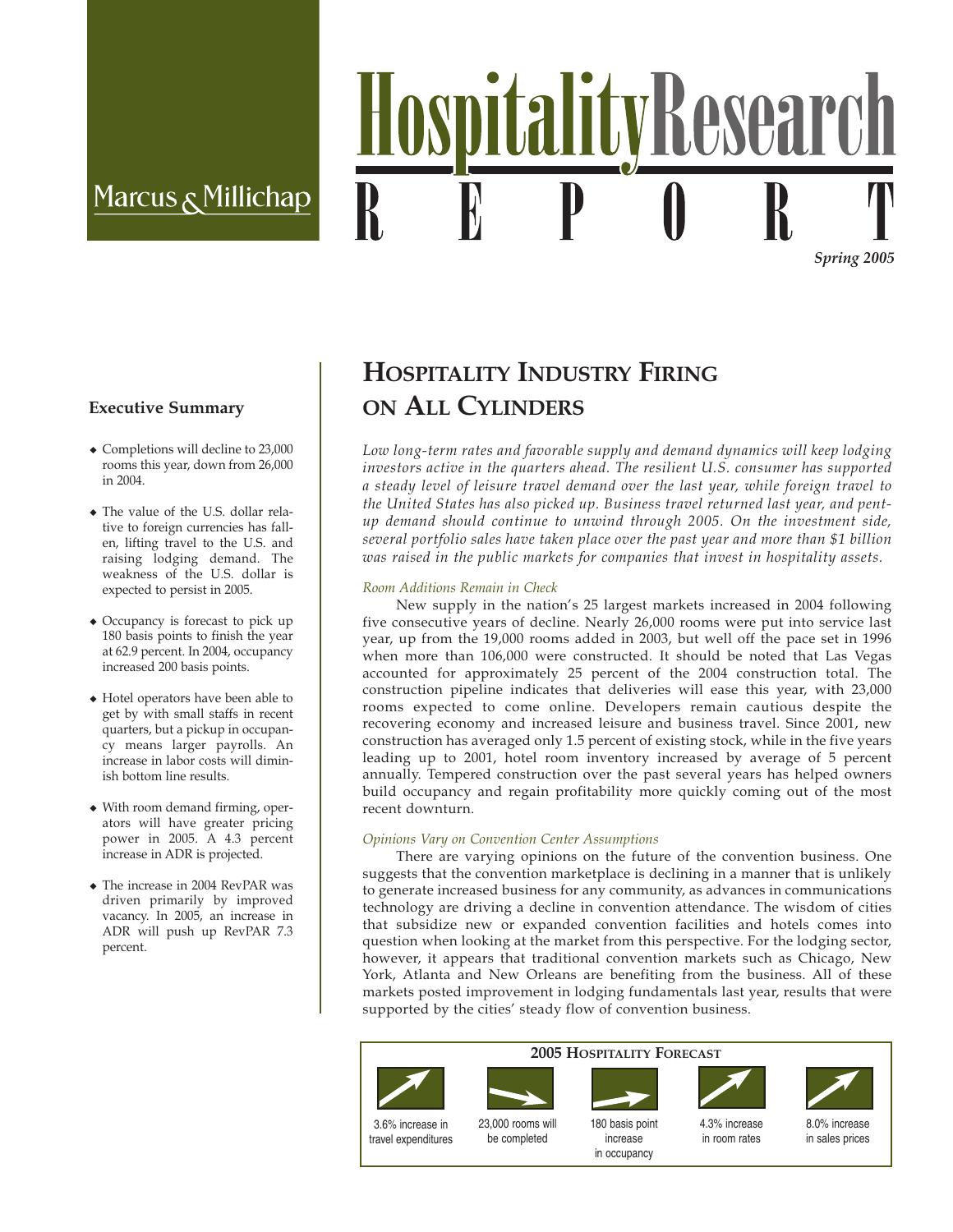# Marcus & Millichap

# **fality Resear** *Spring 2005*

#### **Executive Summary**

- ◆ Completions will decline to 23,000 rooms this year, down from 26,000 in 2004.
- ◆ The value of the U.S. dollar relative to foreign currencies has fallen, lifting travel to the U.S. and raising lodging demand. The weakness of the U.S. dollar is expected to persist in 2005.
- ◆ Occupancy is forecast to pick up 180 basis points to finish the year at 62.9 percent. In 2004, occupancy increased 200 basis points.
- ◆ Hotel operators have been able to get by with small staffs in recent quarters, but a pickup in occupancy means larger payrolls. An increase in labor costs will diminish bottom line results.
- ◆ With room demand firming, operators will have greater pricing power in 2005. A 4.3 percent increase in ADR is projected.
- ◆ The increase in 2004 RevPAR was driven primarily by improved vacancy. In 2005, an increase in ADR will push up RevPAR 7.3 percent.

# **HOSPITALITY INDUSTRY FIRING ON ALL CYLINDERS**

*Low long-term rates and favorable supply and demand dynamics will keep lodging investors active in the quarters ahead. The resilient U.S. consumer has supported a steady level of leisure travel demand over the last year, while foreign travel to the United States has also picked up. Business travel returned last year, and pentup demand should continue to unwind through 2005. On the investment side, several portfolio sales have taken place over the past year and more than \$1 billion was raised in the public markets for companies that invest in hospitality assets.*

#### *Room Additions Remain in Check*

New supply in the nation's 25 largest markets increased in 2004 following five consecutive years of decline. Nearly 26,000 rooms were put into service last year, up from the 19,000 rooms added in 2003, but well off the pace set in 1996 when more than 106,000 were constructed. It should be noted that Las Vegas accounted for approximately 25 percent of the 2004 construction total. The construction pipeline indicates that deliveries will ease this year, with 23,000 rooms expected to come online. Developers remain cautious despite the recovering economy and increased leisure and business travel. Since 2001, new construction has averaged only 1.5 percent of existing stock, while in the five years leading up to 2001, hotel room inventory increased by average of 5 percent annually. Tempered construction over the past several years has helped owners build occupancy and regain profitability more quickly coming out of the most recent downturn.

#### *Opinions Vary on Convention Center Assumptions*

There are varying opinions on the future of the convention business. One suggests that the convention marketplace is declining in a manner that is unlikely to generate increased business for any community, as advances in communications technology are driving a decline in convention attendance. The wisdom of cities that subsidize new or expanded convention facilities and hotels comes into question when looking at the market from this perspective. For the lodging sector, however, it appears that traditional convention markets such as Chicago, New York, Atlanta and New Orleans are benefiting from the business. All of these markets posted improvement in lodging fundamentals last year, results that were supported by the cities' steady flow of convention business.



in occupancy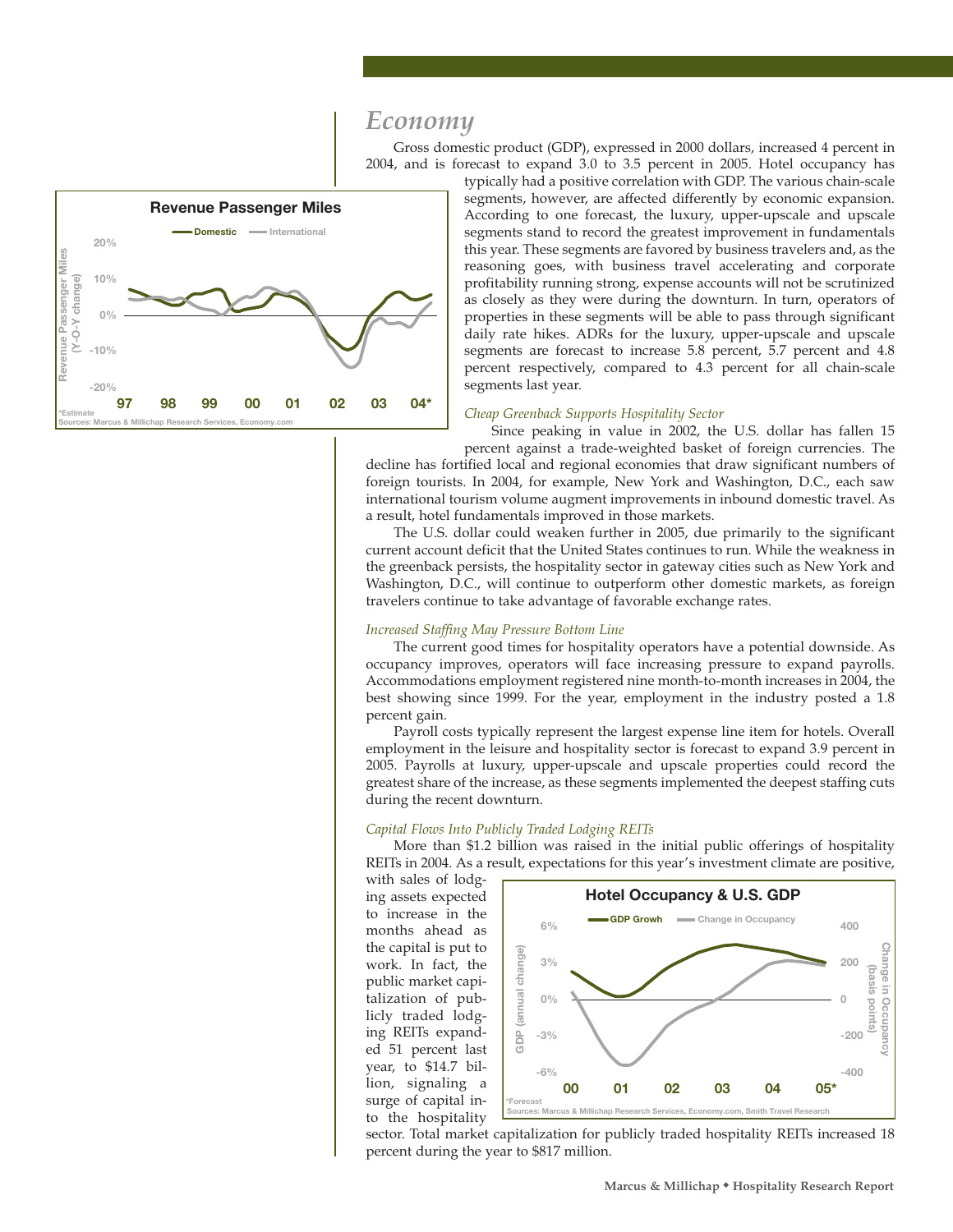## *Economy*

Gross domestic product (GDP), expressed in 2000 dollars, increased 4 percent in 2004, and is forecast to expand 3.0 to 3.5 percent in 2005. Hotel occupancy has



typically had a positive correlation with GDP. The various chain-scale segments, however, are affected differently by economic expansion. According to one forecast, the luxury, upper-upscale and upscale segments stand to record the greatest improvement in fundamentals this year. These segments are favored by business travelers and, as the reasoning goes, with business travel accelerating and corporate profitability running strong, expense accounts will not be scrutinized as closely as they were during the downturn. In turn, operators of properties in these segments will be able to pass through significant daily rate hikes. ADRs for the luxury, upper-upscale and upscale segments are forecast to increase 5.8 percent, 5.7 percent and 4.8 percent respectively, compared to 4.3 percent for all chain-scale segments last year.

#### *Cheap Greenback Supports Hospitality Sector*

Since peaking in value in 2002, the U.S. dollar has fallen 15 percent against a trade-weighted basket of foreign currencies. The decline has fortified local and regional economies that draw significant numbers of foreign tourists. In 2004, for example, New York and Washington, D.C., each saw international tourism volume augment improvements in inbound domestic travel. As a result, hotel fundamentals improved in those markets.

The U.S. dollar could weaken further in 2005, due primarily to the significant current account deficit that the United States continues to run. While the weakness in the greenback persists, the hospitality sector in gateway cities such as New York and Washington, D.C., will continue to outperform other domestic markets, as foreign travelers continue to take advantage of favorable exchange rates.

#### *Increased Staffing May Pressure Bottom Line*

The current good times for hospitality operators have a potential downside. As occupancy improves, operators will face increasing pressure to expand payrolls. Accommodations employment registered nine month-to-month increases in 2004, the best showing since 1999. For the year, employment in the industry posted a 1.8 percent gain.

Payroll costs typically represent the largest expense line item for hotels. Overall employment in the leisure and hospitality sector is forecast to expand 3.9 percent in 2005. Payrolls at luxury, upper-upscale and upscale properties could record the greatest share of the increase, as these segments implemented the deepest staffing cuts during the recent downturn.

#### *Capital Flows Into Publicly Traded Lodging REITs*

More than \$1.2 billion was raised in the initial public offerings of hospitality REITs in 2004. As a result, expectations for this year's investment climate are positive,

with sales of lodging assets expected to increase in the months ahead as the capital is put to work. In fact, the public market capitalization of publicly traded lodging REITs expanded 51 percent last year, to \$14.7 billion, signaling a surge of capital into the hospitality



sector. Total market capitalization for publicly traded hospitality REITs increased 18 percent during the year to \$817 million.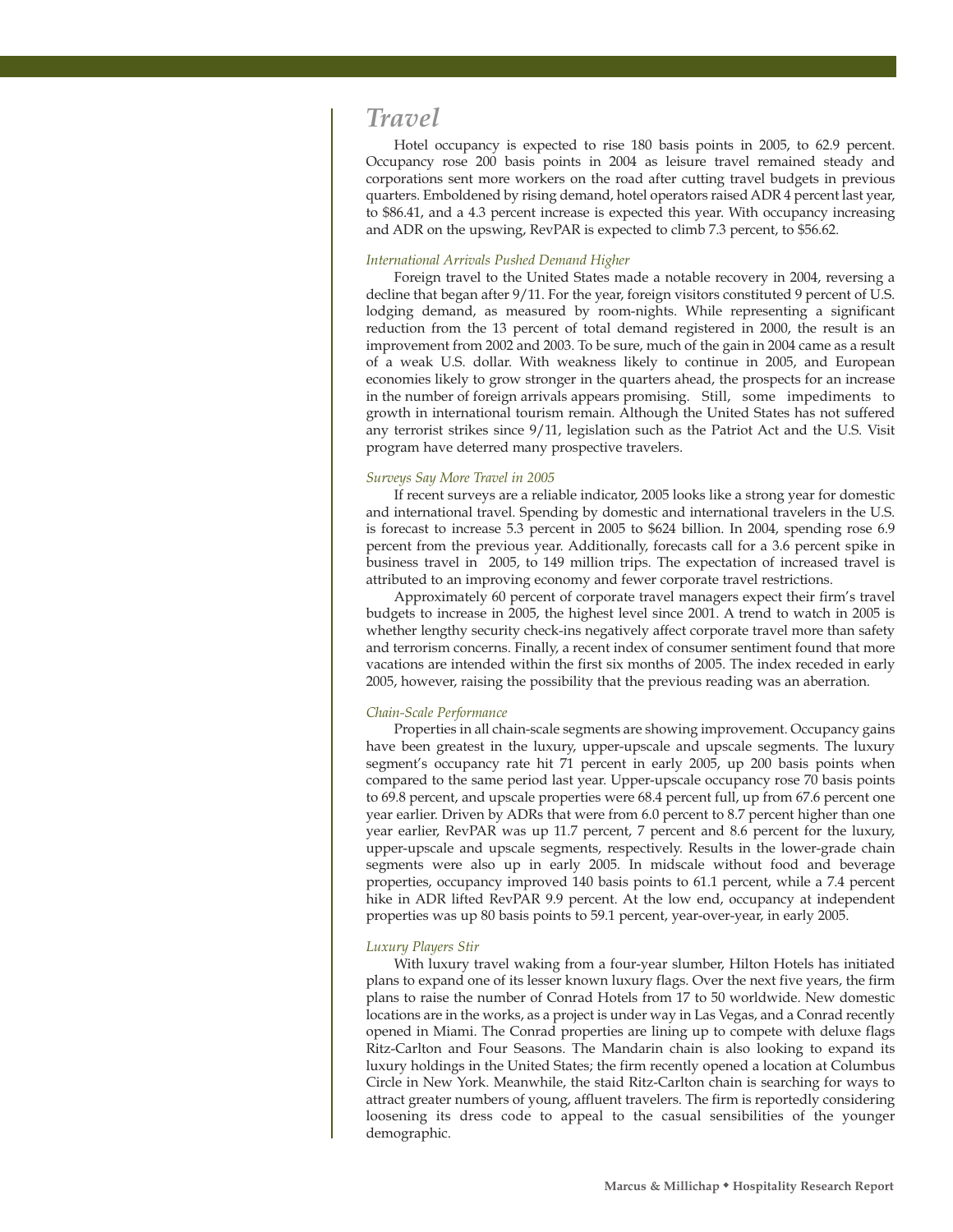### *Travel*

Hotel occupancy is expected to rise 180 basis points in 2005, to 62.9 percent. Occupancy rose 200 basis points in 2004 as leisure travel remained steady and corporations sent more workers on the road after cutting travel budgets in previous quarters. Emboldened by rising demand, hotel operators raised ADR 4 percent last year, to \$86.41, and a 4.3 percent increase is expected this year. With occupancy increasing and ADR on the upswing, RevPAR is expected to climb 7.3 percent, to \$56.62.

#### *International Arrivals Pushed Demand Higher*

Foreign travel to the United States made a notable recovery in 2004, reversing a decline that began after 9/11. For the year, foreign visitors constituted 9 percent of U.S. lodging demand, as measured by room-nights. While representing a significant reduction from the 13 percent of total demand registered in 2000, the result is an improvement from 2002 and 2003. To be sure, much of the gain in 2004 came as a result of a weak U.S. dollar. With weakness likely to continue in 2005, and European economies likely to grow stronger in the quarters ahead, the prospects for an increase in the number of foreign arrivals appears promising. Still, some impediments to growth in international tourism remain. Although the United States has not suffered any terrorist strikes since 9/11, legislation such as the Patriot Act and the U.S. Visit program have deterred many prospective travelers.

#### *Surveys Say More Travel in 2005*

If recent surveys are a reliable indicator, 2005 looks like a strong year for domestic and international travel. Spending by domestic and international travelers in the U.S. is forecast to increase 5.3 percent in 2005 to \$624 billion. In 2004, spending rose 6.9 percent from the previous year. Additionally, forecasts call for a 3.6 percent spike in business travel in 2005, to 149 million trips. The expectation of increased travel is attributed to an improving economy and fewer corporate travel restrictions.

Approximately 60 percent of corporate travel managers expect their firm's travel budgets to increase in 2005, the highest level since 2001. A trend to watch in 2005 is whether lengthy security check-ins negatively affect corporate travel more than safety and terrorism concerns. Finally, a recent index of consumer sentiment found that more vacations are intended within the first six months of 2005. The index receded in early 2005, however, raising the possibility that the previous reading was an aberration.

#### *Chain-Scale Performance*

Properties in all chain-scale segments are showing improvement. Occupancy gains have been greatest in the luxury, upper-upscale and upscale segments. The luxury segment's occupancy rate hit 71 percent in early 2005, up 200 basis points when compared to the same period last year. Upper-upscale occupancy rose 70 basis points to 69.8 percent, and upscale properties were 68.4 percent full, up from 67.6 percent one year earlier. Driven by ADRs that were from 6.0 percent to 8.7 percent higher than one year earlier, RevPAR was up 11.7 percent, 7 percent and 8.6 percent for the luxury, upper-upscale and upscale segments, respectively. Results in the lower-grade chain segments were also up in early 2005. In midscale without food and beverage properties, occupancy improved 140 basis points to 61.1 percent, while a 7.4 percent hike in ADR lifted RevPAR 9.9 percent. At the low end, occupancy at independent properties was up 80 basis points to 59.1 percent, year-over-year, in early 2005.

#### *Luxury Players Stir*

With luxury travel waking from a four-year slumber, Hilton Hotels has initiated plans to expand one of its lesser known luxury flags. Over the next five years, the firm plans to raise the number of Conrad Hotels from 17 to 50 worldwide. New domestic locations are in the works, as a project is under way in Las Vegas, and a Conrad recently opened in Miami. The Conrad properties are lining up to compete with deluxe flags Ritz-Carlton and Four Seasons. The Mandarin chain is also looking to expand its luxury holdings in the United States; the firm recently opened a location at Columbus Circle in New York. Meanwhile, the staid Ritz-Carlton chain is searching for ways to attract greater numbers of young, affluent travelers. The firm is reportedly considering loosening its dress code to appeal to the casual sensibilities of the younger demographic.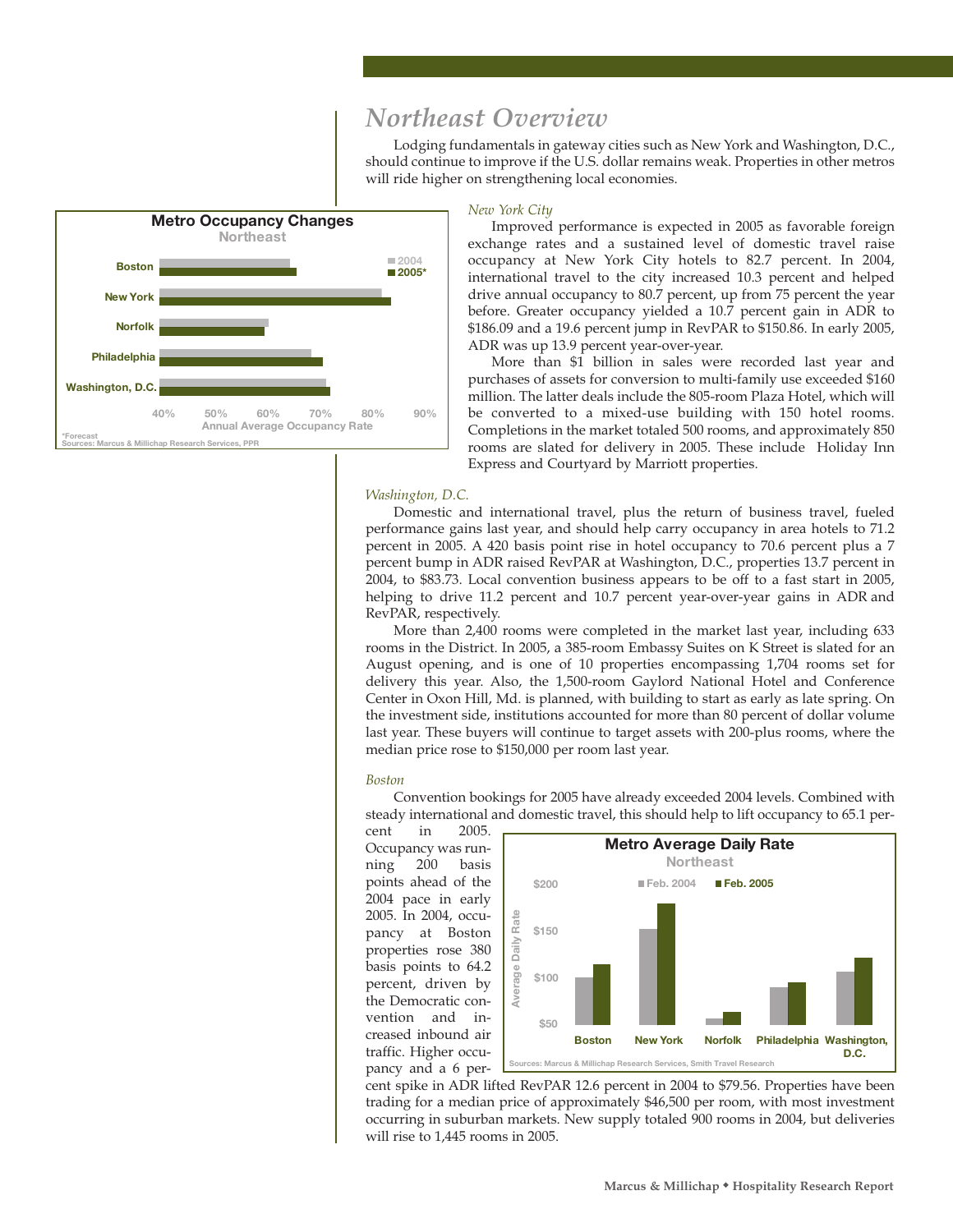## *Northeast Overview*

Lodging fundamentals in gateway cities such as New York and Washington, D.C., should continue to improve if the U.S. dollar remains weak. Properties in other metros will ride higher on strengthening local economies.



#### *New York City*

Improved performance is expected in 2005 as favorable foreign exchange rates and a sustained level of domestic travel raise occupancy at New York City hotels to 82.7 percent. In 2004, international travel to the city increased 10.3 percent and helped drive annual occupancy to 80.7 percent, up from 75 percent the year before. Greater occupancy yielded a 10.7 percent gain in ADR to \$186.09 and a 19.6 percent jump in RevPAR to \$150.86. In early 2005, ADR was up 13.9 percent year-over-year.

More than \$1 billion in sales were recorded last year and purchases of assets for conversion to multi-family use exceeded \$160 million. The latter deals include the 805-room Plaza Hotel, which will be converted to a mixed-use building with 150 hotel rooms. Completions in the market totaled 500 rooms, and approximately 850 rooms are slated for delivery in 2005. These include Holiday Inn Express and Courtyard by Marriott properties.

#### *Washington, D.C.*

Domestic and international travel, plus the return of business travel, fueled performance gains last year, and should help carry occupancy in area hotels to 71.2 percent in 2005. A 420 basis point rise in hotel occupancy to 70.6 percent plus a 7 percent bump in ADR raised RevPAR at Washington, D.C., properties 13.7 percent in 2004, to \$83.73. Local convention business appears to be off to a fast start in 2005, helping to drive 11.2 percent and 10.7 percent year-over-year gains in ADR and RevPAR, respectively.

More than 2,400 rooms were completed in the market last year, including 633 rooms in the District. In 2005, a 385-room Embassy Suites on K Street is slated for an August opening, and is one of 10 properties encompassing 1,704 rooms set for delivery this year. Also, the 1,500-room Gaylord National Hotel and Conference Center in Oxon Hill, Md. is planned, with building to start as early as late spring. On the investment side, institutions accounted for more than 80 percent of dollar volume last year. These buyers will continue to target assets with 200-plus rooms, where the median price rose to \$150,000 per room last year.

#### *Boston*

Convention bookings for 2005 have already exceeded 2004 levels. Combined with steady international and domestic travel, this should help to lift occupancy to 65.1 per-

cent in 2005. Occupancy was running 200 basis points ahead of the 2004 pace in early 2005. In 2004, occupancy at Boston properties rose 380 basis points to 64.2 percent, driven by the Democratic convention and increased inbound air traffic. Higher occupancy and a 6 per-



cent spike in ADR lifted RevPAR 12.6 percent in 2004 to \$79.56. Properties have been trading for a median price of approximately \$46,500 per room, with most investment occurring in suburban markets. New supply totaled 900 rooms in 2004, but deliveries will rise to 1,445 rooms in 2005.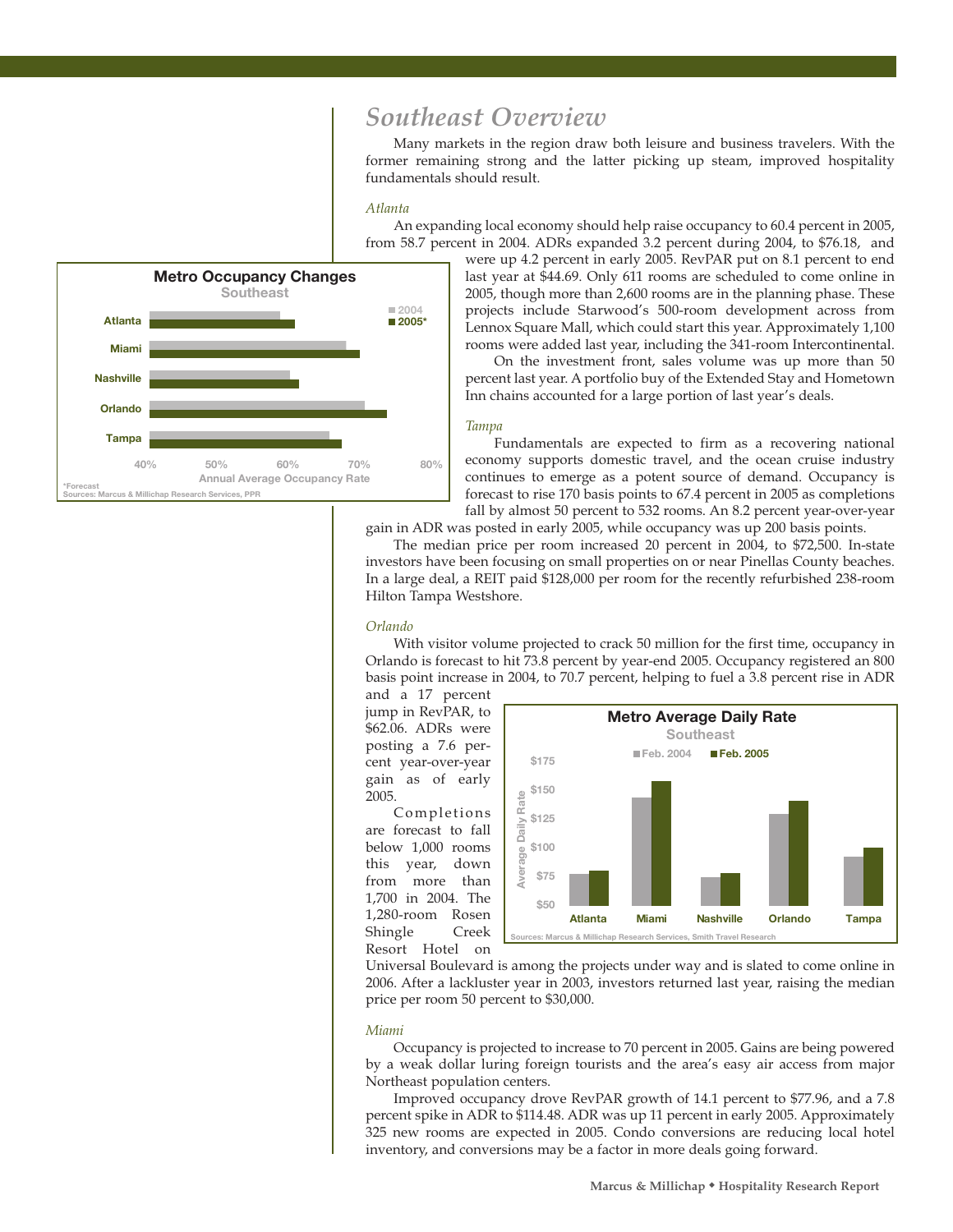## *Southeast Overview*

Many markets in the region draw both leisure and business travelers. With the former remaining strong and the latter picking up steam, improved hospitality fundamentals should result.

#### *Atlanta*

An expanding local economy should help raise occupancy to 60.4 percent in 2005, from 58.7 percent in 2004. ADRs expanded 3.2 percent during 2004, to \$76.18, and



were up 4.2 percent in early 2005. RevPAR put on 8.1 percent to end last year at \$44.69. Only 611 rooms are scheduled to come online in 2005, though more than 2,600 rooms are in the planning phase. These projects include Starwood's 500-room development across from Lennox Square Mall, which could start this year. Approximately 1,100 rooms were added last year, including the 341-room Intercontinental.

On the investment front, sales volume was up more than 50 percent last year. A portfolio buy of the Extended Stay and Hometown Inn chains accounted for a large portion of last year's deals.

#### *Tampa*

Fundamentals are expected to firm as a recovering national economy supports domestic travel, and the ocean cruise industry continues to emerge as a potent source of demand. Occupancy is forecast to rise 170 basis points to 67.4 percent in 2005 as completions fall by almost 50 percent to 532 rooms. An 8.2 percent year-over-year

gain in ADR was posted in early 2005, while occupancy was up 200 basis points.

The median price per room increased 20 percent in 2004, to \$72,500. In-state investors have been focusing on small properties on or near Pinellas County beaches. In a large deal, a REIT paid \$128,000 per room for the recently refurbished 238-room Hilton Tampa Westshore.

#### *Orlando*

With visitor volume projected to crack 50 million for the first time, occupancy in Orlando is forecast to hit 73.8 percent by year-end 2005. Occupancy registered an 800 basis point increase in 2004, to 70.7 percent, helping to fuel a 3.8 percent rise in ADR

and a 17 percent jump in RevPAR, to \$62.06. ADRs were posting a 7.6 percent year-over-year gain as of early 2005.

Completions are forecast to fall below 1,000 rooms this year, down from more than 1,700 in 2004. The 1,280-room Rosen Shingle Creek Resort Hotel on



Universal Boulevard is among the projects under way and is slated to come online in 2006. After a lackluster year in 2003, investors returned last year, raising the median price per room 50 percent to \$30,000.

#### *Miami*

Occupancy is projected to increase to 70 percent in 2005. Gains are being powered by a weak dollar luring foreign tourists and the area's easy air access from major Northeast population centers.

Improved occupancy drove RevPAR growth of 14.1 percent to \$77.96, and a 7.8 percent spike in ADR to \$114.48. ADR was up 11 percent in early 2005. Approximately 325 new rooms are expected in 2005. Condo conversions are reducing local hotel inventory, and conversions may be a factor in more deals going forward.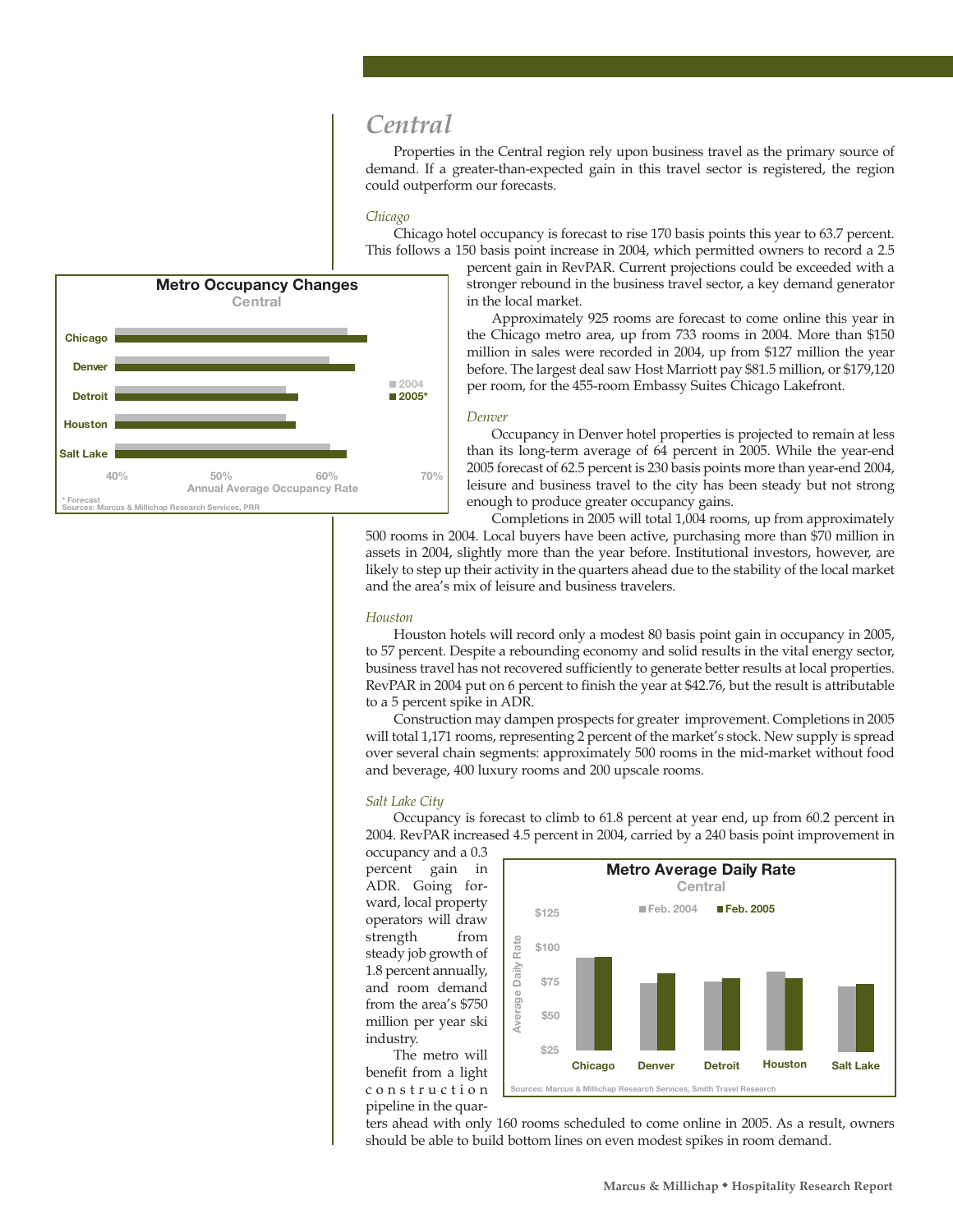## *Central*

Properties in the Central region rely upon business travel as the primary source of demand. If a greater-than-expected gain in this travel sector is registered, the region could outperform our forecasts.

#### *Chicago*

Chicago hotel occupancy is forecast to rise 170 basis points this year to 63.7 percent. This follows a 150 basis point increase in 2004, which permitted owners to record a 2.5



percent gain in RevPAR. Current projections could be exceeded with a stronger rebound in the business travel sector, a key demand generator in the local market.

Approximately 925 rooms are forecast to come online this year in the Chicago metro area, up from 733 rooms in 2004. More than \$150 million in sales were recorded in 2004, up from \$127 million the year before. The largest deal saw Host Marriott pay \$81.5 million, or \$179,120 per room, for the 455-room Embassy Suites Chicago Lakefront.

#### *Denver*

Occupancy in Denver hotel properties is projected to remain at less than its long-term average of 64 percent in 2005. While the year-end 2005 forecast of 62.5 percent is 230 basis points more than year-end 2004, leisure and business travel to the city has been steady but not strong enough to produce greater occupancy gains.

Completions in 2005 will total 1,004 rooms, up from approximately 500 rooms in 2004. Local buyers have been active, purchasing more than \$70 million in assets in 2004, slightly more than the year before. Institutional investors, however, are likely to step up their activity in the quarters ahead due to the stability of the local market and the area's mix of leisure and business travelers.

#### *Houston*

Houston hotels will record only a modest 80 basis point gain in occupancy in 2005, to 57 percent. Despite a rebounding economy and solid results in the vital energy sector, business travel has not recovered sufficiently to generate better results at local properties. RevPAR in 2004 put on 6 percent to finish the year at \$42.76, but the result is attributable to a 5 percent spike in ADR.

Construction may dampen prospects for greater improvement. Completions in 2005 will total 1,171 rooms, representing 2 percent of the market's stock. New supply is spread over several chain segments: approximately 500 rooms in the mid-market without food and beverage, 400 luxury rooms and 200 upscale rooms.

#### *Salt Lake City*

Occupancy is forecast to climb to 61.8 percent at year end, up from 60.2 percent in 2004. RevPAR increased 4.5 percent in 2004, carried by a 240 basis point improvement in

occupancy and a 0.3 percent gain in ADR. Going forward, local property operators will draw strength from steady job growth of 1.8 percent annually, and room demand from the area's \$750 million per year ski industry.

The metro will benefit from a light construction pipeline in the quar-



ters ahead with only 160 rooms scheduled to come online in 2005. As a result, owners should be able to build bottom lines on even modest spikes in room demand.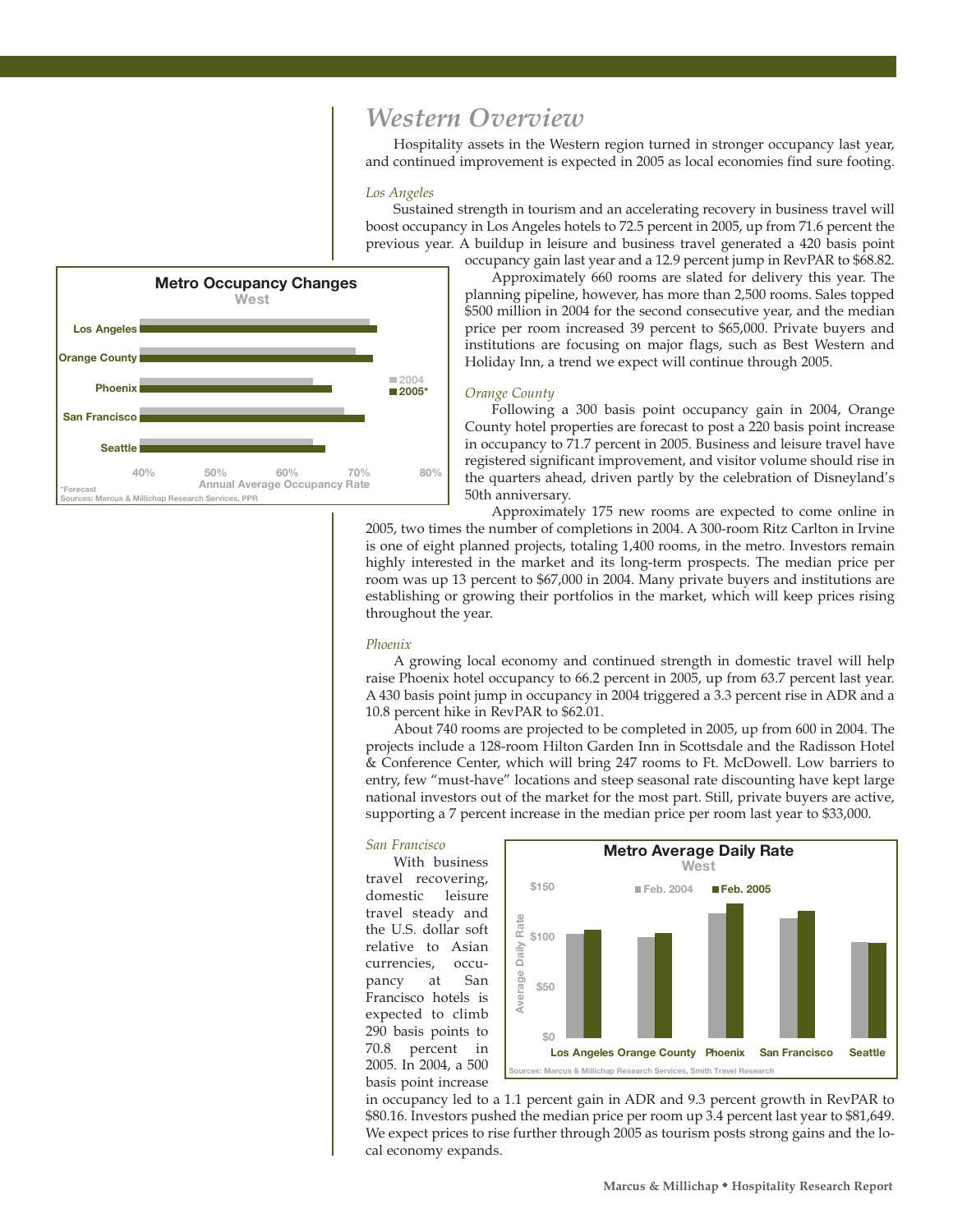## *Western Overview*

Hospitality assets in the Western region turned in stronger occupancy last year, and continued improvement is expected in 2005 as local economies find sure footing.

#### *Los Angeles*

Sustained strength in tourism and an accelerating recovery in business travel will boost occupancy in Los Angeles hotels to 72.5 percent in 2005, up from 71.6 percent the previous year. A buildup in leisure and business travel generated a 420 basis point occupancy gain last year and a 12.9 percent jump in RevPAR to \$68.82.



Approximately 660 rooms are slated for delivery this year. The planning pipeline, however, has more than 2,500 rooms. Sales topped \$500 million in 2004 for the second consecutive year, and the median price per room increased 39 percent to \$65,000. Private buyers and institutions are focusing on major flags, such as Best Western and Holiday Inn, a trend we expect will continue through 2005.

#### *Orange County*

Following a 300 basis point occupancy gain in 2004, Orange County hotel properties are forecast to post a 220 basis point increase in occupancy to 71.7 percent in 2005. Business and leisure travel have registered significant improvement, and visitor volume should rise in the quarters ahead, driven partly by the celebration of Disneyland's 50th anniversary.

Approximately 175 new rooms are expected to come online in 2005, two times the number of completions in 2004. A 300-room Ritz Carlton in Irvine is one of eight planned projects, totaling 1,400 rooms, in the metro. Investors remain highly interested in the market and its long-term prospects. The median price per room was up 13 percent to \$67,000 in 2004. Many private buyers and institutions are establishing or growing their portfolios in the market, which will keep prices rising throughout the year.

#### *Phoenix*

A growing local economy and continued strength in domestic travel will help raise Phoenix hotel occupancy to 66.2 percent in 2005, up from 63.7 percent last year. A 430 basis point jump in occupancy in 2004 triggered a 3.3 percent rise in ADR and a 10.8 percent hike in RevPAR to \$62.01.

About 740 rooms are projected to be completed in 2005, up from 600 in 2004. The projects include a 128-room Hilton Garden Inn in Scottsdale and the Radisson Hotel & Conference Center, which will bring 247 rooms to Ft. McDowell. Low barriers to entry, few "must-have" locations and steep seasonal rate discounting have kept large national investors out of the market for the most part. Still, private buyers are active, supporting a 7 percent increase in the median price per room last year to \$33,000.

#### *San Francisco*

With business travel recovering, domestic leisure travel steady and the U.S. dollar soft relative to Asian currencies, occupancy at San Francisco hotels is expected to climb 290 basis points to 70.8 percent in 2005. In 2004, a 500 basis point increase



in occupancy led to a 1.1 percent gain in ADR and 9.3 percent growth in RevPAR to \$80.16. Investors pushed the median price per room up 3.4 percent last year to \$81,649. We expect prices to rise further through 2005 as tourism posts strong gains and the local economy expands.